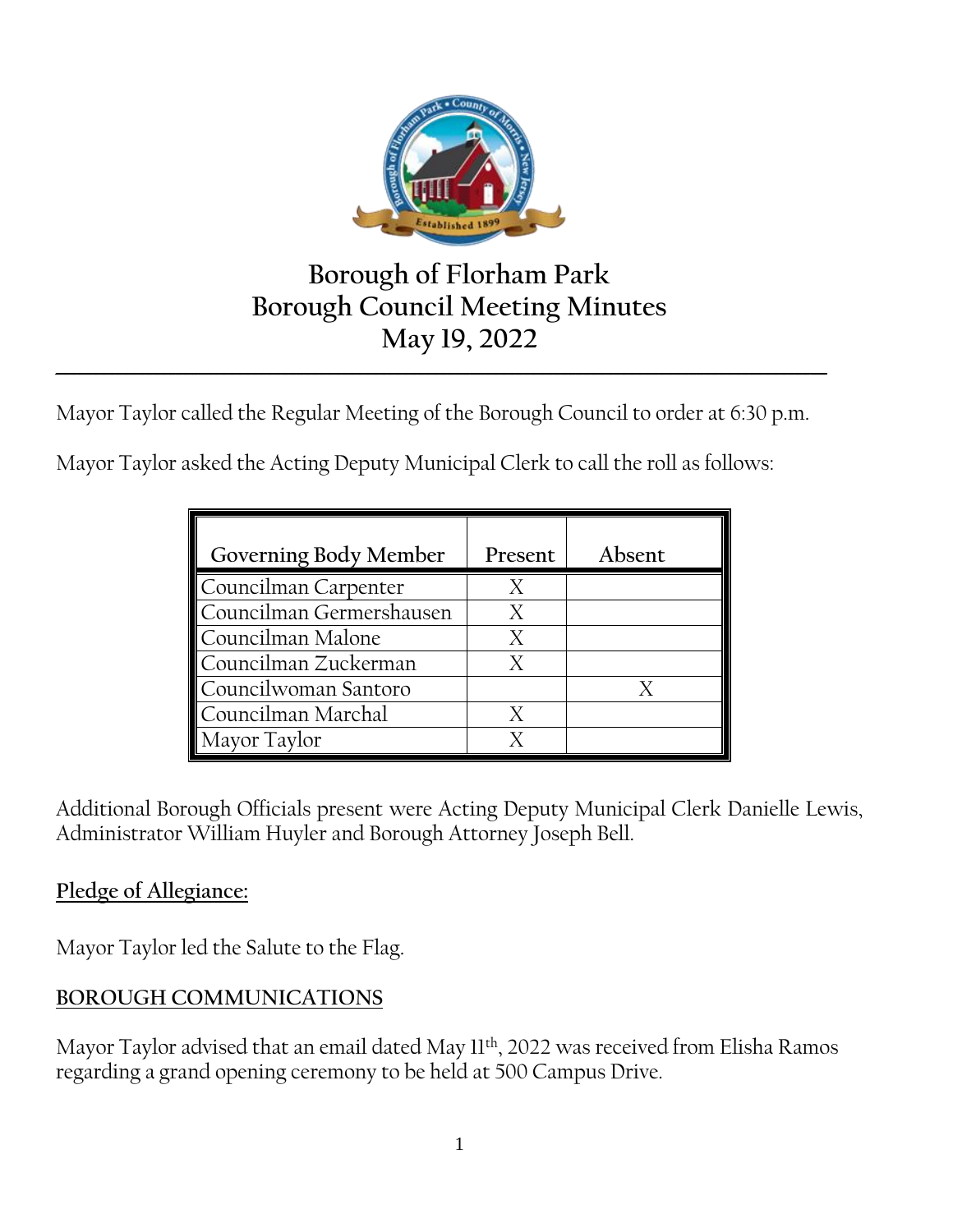

# **Borough of Florham Park Borough Council Meeting Minutes May 19, 2022**

Mayor Taylor called the Regular Meeting of the Borough Council to order at 6:30 p.m.

**\_\_\_\_\_\_\_\_\_\_\_\_\_\_\_\_\_\_\_\_\_\_\_\_\_\_\_\_\_\_\_\_\_\_\_\_\_\_\_\_\_\_\_\_\_\_\_\_\_\_\_\_\_\_\_\_\_\_\_\_\_\_\_\_\_\_\_\_\_\_\_\_\_\_\_\_\_\_\_\_\_\_\_\_\_\_\_\_\_\_\_\_\_\_\_\_\_\_\_\_\_\_**

Mayor Taylor asked the Acting Deputy Municipal Clerk to call the roll as follows:

| Governing Body Member    | Present | Absent |
|--------------------------|---------|--------|
| Councilman Carpenter     |         |        |
| Councilman Germershausen | X       |        |
| Councilman Malone        | X       |        |
| Councilman Zuckerman     |         |        |
| Councilwoman Santoro     |         |        |
| Councilman Marchal       |         |        |
| Mayor Taylor             |         |        |

Additional Borough Officials present were Acting Deputy Municipal Clerk Danielle Lewis, Administrator William Huyler and Borough Attorney Joseph Bell.

# **Pledge of Allegiance:**

Mayor Taylor led the Salute to the Flag.

# **BOROUGH COMMUNICATIONS**

Mayor Taylor advised that an email dated May 11<sup>th</sup>, 2022 was received from Elisha Ramos regarding a grand opening ceremony to be held at 500 Campus Drive.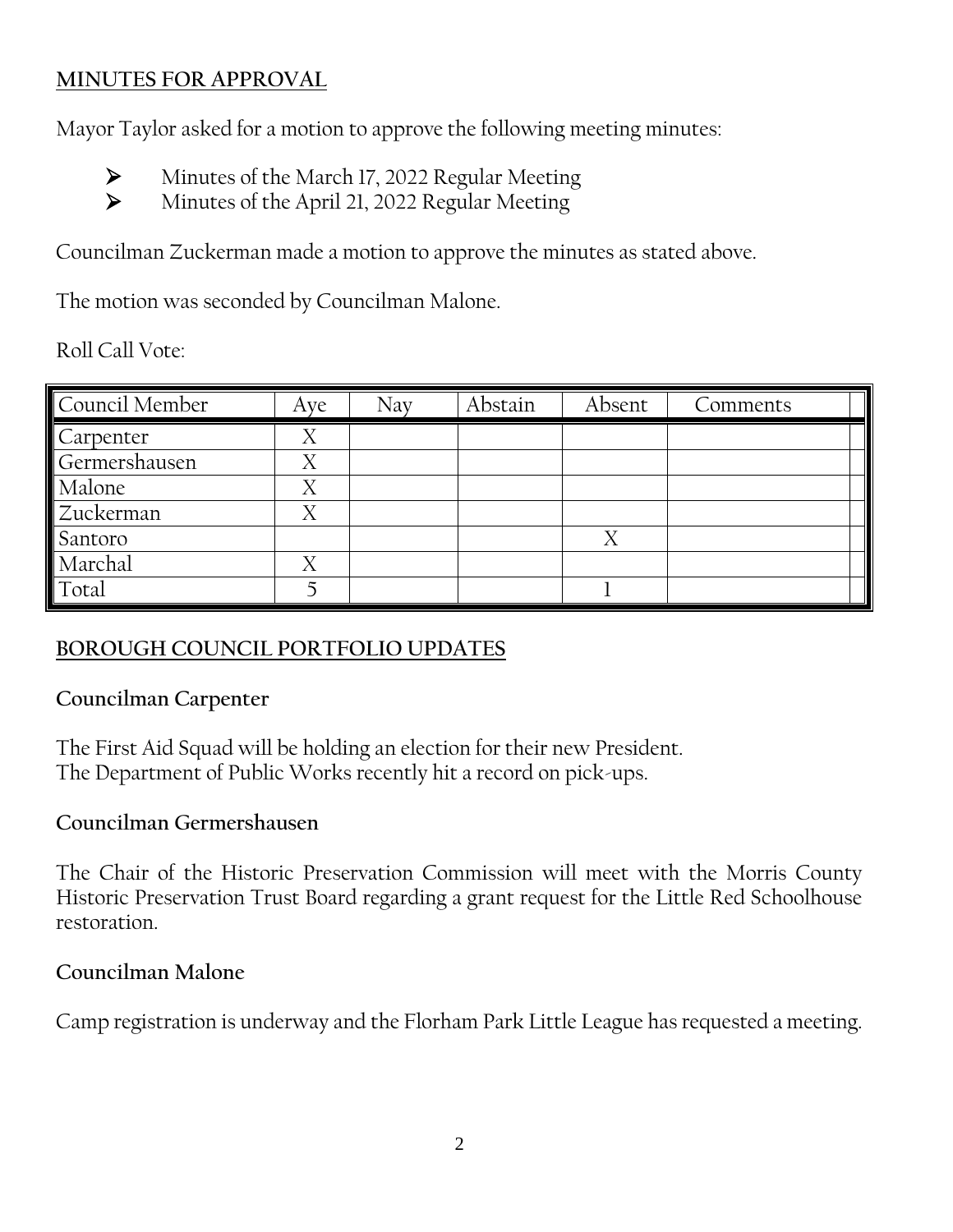# **MINUTES FOR APPROVAL**

Mayor Taylor asked for a motion to approve the following meeting minutes:

- Minutes of the March 17, 2022 Regular Meeting
- Minutes of the April 21, 2022 Regular Meeting

Councilman Zuckerman made a motion to approve the minutes as stated above.

The motion was seconded by Councilman Malone.

Roll Call Vote:

| Council Member | Aye | Nav | Abstain | Absent | Comments |
|----------------|-----|-----|---------|--------|----------|
| Carpenter      | Χ   |     |         |        |          |
| Germershausen  | Χ   |     |         |        |          |
| Malone         | Χ   |     |         |        |          |
| Zuckerman      | Χ   |     |         |        |          |
| Santoro        |     |     |         | Χ      |          |
| Marchal        | X   |     |         |        |          |
| Total          |     |     |         |        |          |

# **BOROUGH COUNCIL PORTFOLIO UPDATES**

# **Councilman Carpenter**

The First Aid Squad will be holding an election for their new President. The Department of Public Works recently hit a record on pick-ups.

#### **Councilman Germershausen**

The Chair of the Historic Preservation Commission will meet with the Morris County Historic Preservation Trust Board regarding a grant request for the Little Red Schoolhouse restoration.

#### **Councilman Malone**

Camp registration is underway and the Florham Park Little League has requested a meeting.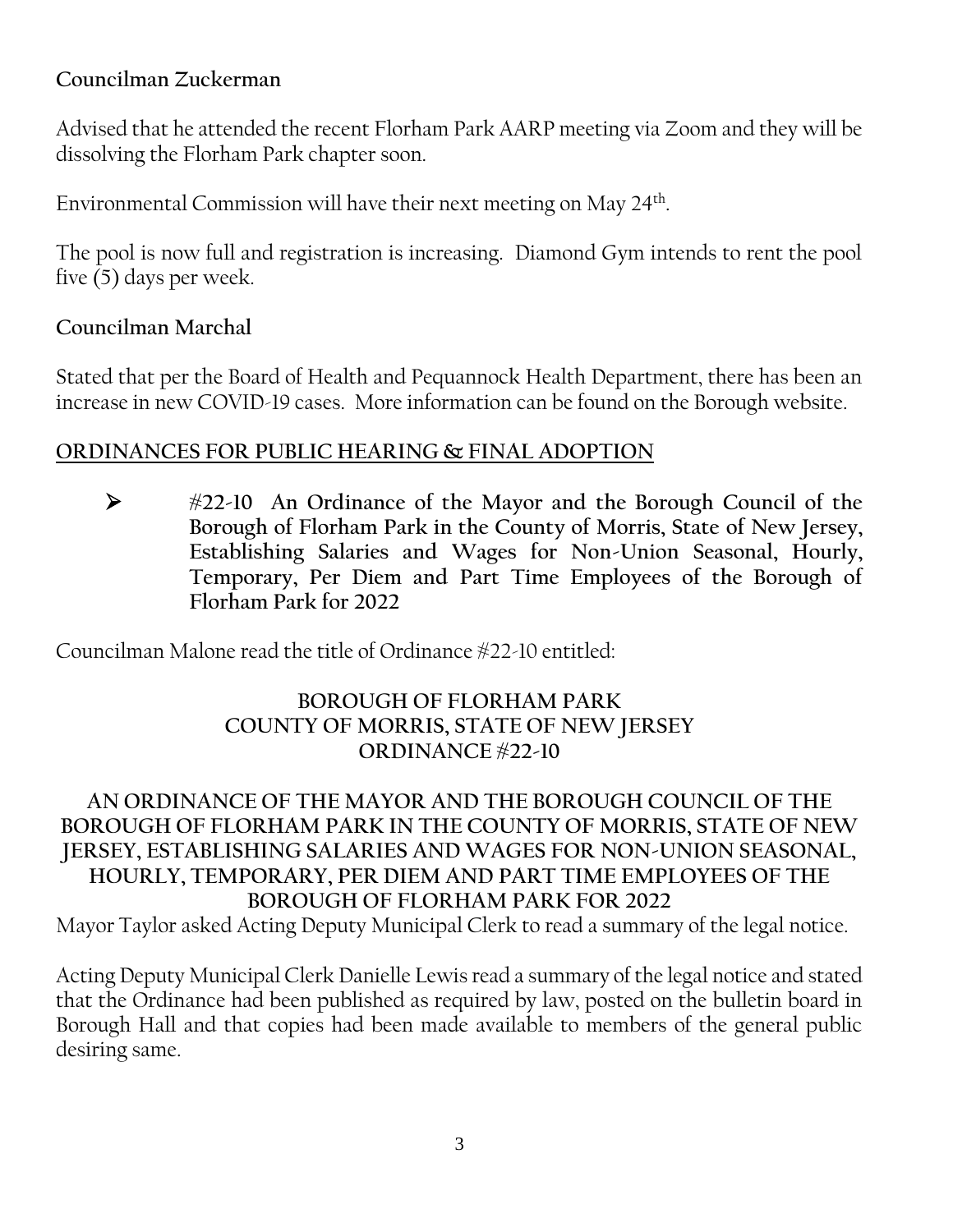# **Councilman Zuckerman**

Advised that he attended the recent Florham Park AARP meeting via Zoom and they will be dissolving the Florham Park chapter soon.

Environmental Commission will have their next meeting on May 24th .

The pool is now full and registration is increasing. Diamond Gym intends to rent the pool five (5) days per week.

#### **Councilman Marchal**

Stated that per the Board of Health and Pequannock Health Department, there has been an increase in new COVID-19 cases. More information can be found on the Borough website.

#### **ORDINANCES FOR PUBLIC HEARING & FINAL ADOPTION**

 **#22-10 An Ordinance of the Mayor and the Borough Council of the Borough of Florham Park in the County of Morris, State of New Jersey, Establishing Salaries and Wages for Non-Union Seasonal, Hourly, Temporary, Per Diem and Part Time Employees of the Borough of Florham Park for 2022**

Councilman Malone read the title of Ordinance #22-10 entitled:

#### **BOROUGH OF FLORHAM PARK COUNTY OF MORRIS, STATE OF NEW JERSEY ORDINANCE #22-10**

#### **AN ORDINANCE OF THE MAYOR AND THE BOROUGH COUNCIL OF THE BOROUGH OF FLORHAM PARK IN THE COUNTY OF MORRIS, STATE OF NEW JERSEY, ESTABLISHING SALARIES AND WAGES FOR NON-UNION SEASONAL, HOURLY, TEMPORARY, PER DIEM AND PART TIME EMPLOYEES OF THE BOROUGH OF FLORHAM PARK FOR 2022**

Mayor Taylor asked Acting Deputy Municipal Clerk to read a summary of the legal notice.

Acting Deputy Municipal Clerk Danielle Lewis read a summary of the legal notice and stated that the Ordinance had been published as required by law, posted on the bulletin board in Borough Hall and that copies had been made available to members of the general public desiring same.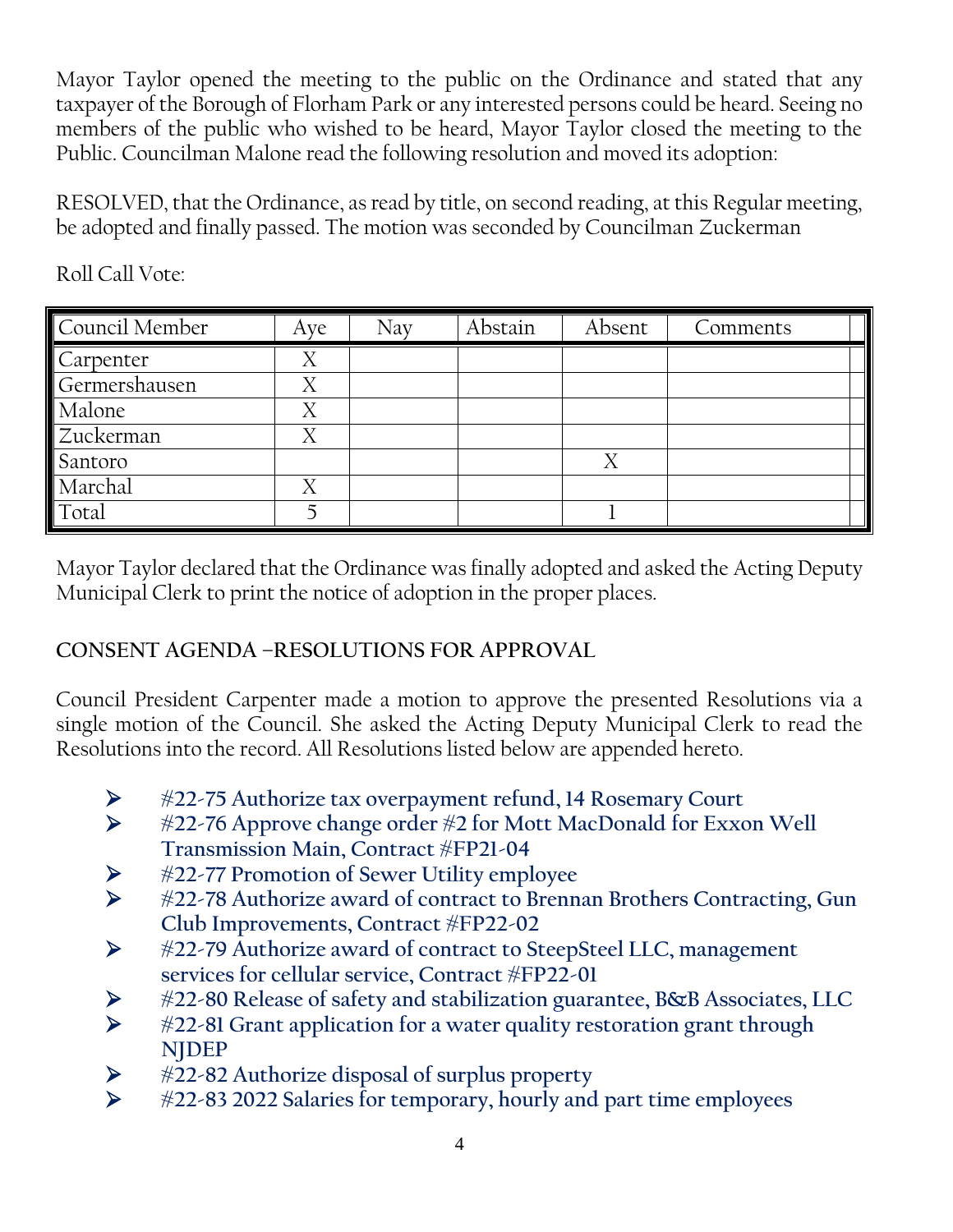Mayor Taylor opened the meeting to the public on the Ordinance and stated that any taxpayer of the Borough of Florham Park or any interested persons could be heard. Seeing no members of the public who wished to be heard, Mayor Taylor closed the meeting to the Public. Councilman Malone read the following resolution and moved its adoption:

RESOLVED, that the Ordinance, as read by title, on second reading, at this Regular meeting, be adopted and finally passed. The motion was seconded by Councilman Zuckerman

| Council Member | Aye | Nay | Abstain | Absent | Comments |
|----------------|-----|-----|---------|--------|----------|
| Carpenter      |     |     |         |        |          |
| Germershausen  | Χ   |     |         |        |          |
| Malone         | v   |     |         |        |          |
| Zuckerman      | Χ   |     |         |        |          |
| Santoro        |     |     |         |        |          |
| Marchal        |     |     |         |        |          |
| Total          |     |     |         |        |          |

Roll Call Vote:

Mayor Taylor declared that the Ordinance was finally adopted and asked the Acting Deputy Municipal Clerk to print the notice of adoption in the proper places.

# **CONSENT AGENDA –RESOLUTIONS FOR APPROVAL**

Council President Carpenter made a motion to approve the presented Resolutions via a single motion of the Council. She asked the Acting Deputy Municipal Clerk to read the Resolutions into the record. All Resolutions listed below are appended hereto.

- **#22-75 Authorize tax overpayment refund, 14 Rosemary Court**
- **#22-76 Approve change order #2 for Mott MacDonald for Exxon Well Transmission Main, Contract #FP21-04**
- **#22-77 Promotion of Sewer Utility employee**
- **#22-78 Authorize award of contract to Brennan Brothers Contracting, Gun Club Improvements, Contract #FP22-02**
- **#22-79 Authorize award of contract to SteepSteel LLC, management services for cellular service, Contract #FP22-01**
- **#22-80 Release of safety and stabilization guarantee, B&B Associates, LLC**
- **#22-81 Grant application for a water quality restoration grant through NJDEP**
- **#22-82 Authorize disposal of surplus property**
- **#22-83 2022 Salaries for temporary, hourly and part time employees**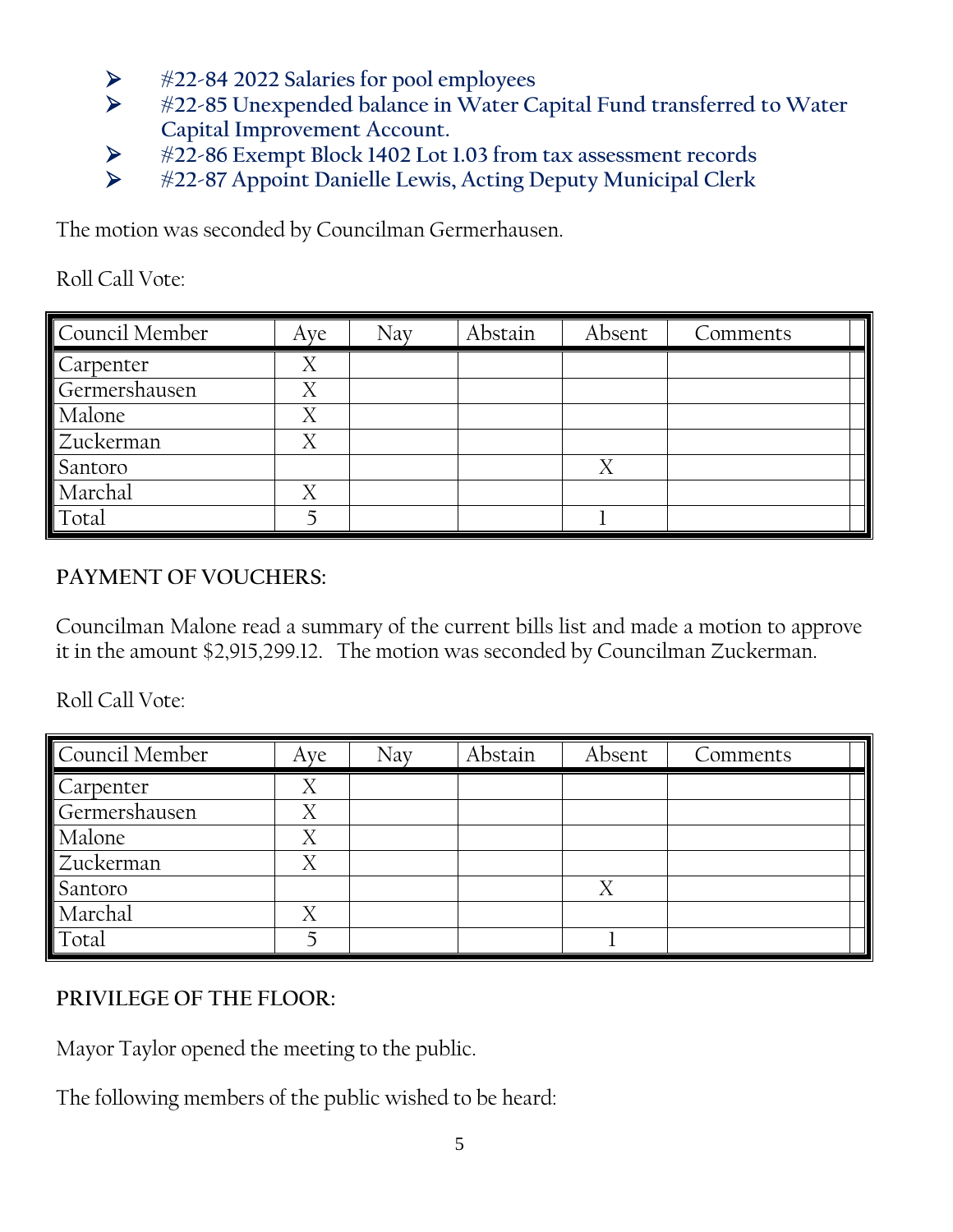- **#22-84 2022 Salaries for pool employees**
- **#22-85 Unexpended balance in Water Capital Fund transferred to Water Capital Improvement Account.**
- **#22-86 Exempt Block 1402 Lot 1.03 from tax assessment records**
- **#22-87 Appoint Danielle Lewis, Acting Deputy Municipal Clerk**

The motion was seconded by Councilman Germerhausen.

Roll Call Vote:

| Council Member | Aye | Nay | Abstain | Absent | Comments |
|----------------|-----|-----|---------|--------|----------|
| Carpenter      | Χ   |     |         |        |          |
| Germershausen  | Χ   |     |         |        |          |
| Malone         | Х   |     |         |        |          |
| Zuckerman      | Χ   |     |         |        |          |
| Santoro        |     |     |         |        |          |
| Marchal        | Χ   |     |         |        |          |
| Total          |     |     |         |        |          |

# **PAYMENT OF VOUCHERS:**

Councilman Malone read a summary of the current bills list and made a motion to approve it in the amount \$2,915,299.12. The motion was seconded by Councilman Zuckerman.

Roll Call Vote:

| Council Member | Aye | Nay | Abstain | Absent | Comments |
|----------------|-----|-----|---------|--------|----------|
| Carpenter      | Χ   |     |         |        |          |
| Germershausen  | Χ   |     |         |        |          |
| Malone         | Χ   |     |         |        |          |
| Zuckerman      | Χ   |     |         |        |          |
| Santoro        |     |     |         | Χ      |          |
| Marchal        |     |     |         |        |          |
| Total          |     |     |         |        |          |

# **PRIVILEGE OF THE FLOOR:**

Mayor Taylor opened the meeting to the public.

The following members of the public wished to be heard: